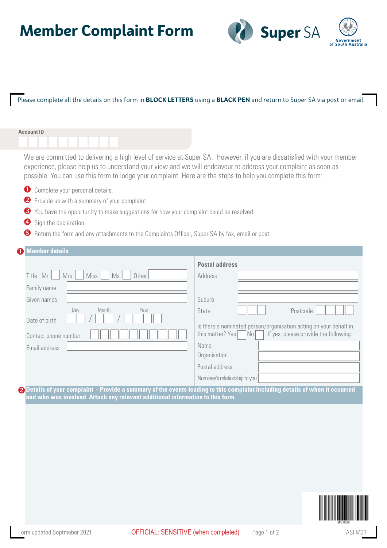# **Member Complaint Form**



### Please complete all the details on this form in **BLOCK LETTERS** using a **BLACK PEN** and return to Super SA via post or email.

#### **Account ID**

We are committed to delivering a high level of service at Super SA. However, if you are dissatisfied with your member experience, please help us to understand your view and we will endeavour to address your complaint as soon as possible. You can use this form to lodge your complaint. Here are the steps to help you complete this form:

- **O** Complete your personal details.
- **P** Provide us with a summary of your complaint.
- S You have the opportunity to make suggestions for how your complaint could be resolved.
- **4** Sign the declaration.
- **B** Return the form and any attachments to the Complaints Officer, Super SA by fax, email or post.

### Mrs Miss  $\bullet$ **Member details**  $Title: Mr$  Mrs Miss  $MS = 0$ Family name Given names Day Month Year Date of hirth Contact phone number Email address **Postal address** Address Suburb State  $\|\cdot\|$  | Postcode Is there a nominated person/organisation acting on your behalf in this matter? Yes  $\vert$  No  $\vert$  If yes, please provide the following: Name **Organisation** Postal address Nominee's relationship to you

**Q** Details of your complaint - Provide a summary of the events leading to this complaint including details of when it occurred **and who was involved. Attach any relevant additional information to this form.**